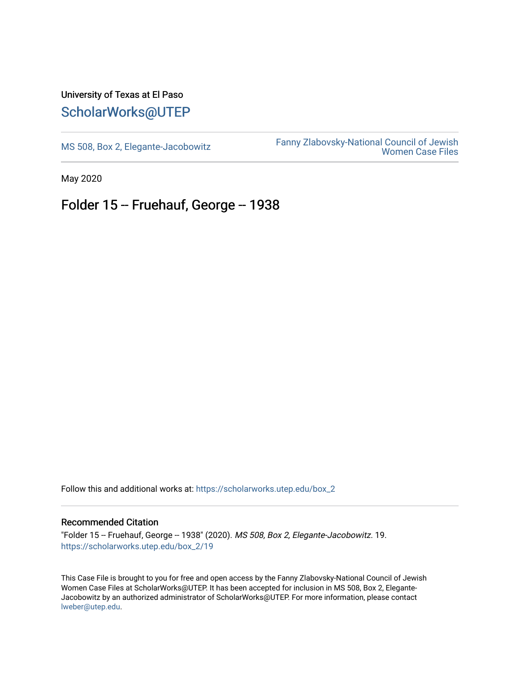## University of Texas at El Paso [ScholarWorks@UTEP](https://scholarworks.utep.edu/)

[MS 508, Box 2, Elegante-Jacobowitz](https://scholarworks.utep.edu/box_2) [Fanny Zlabovsky-National Council of Jewish](https://scholarworks.utep.edu/fanny_z)  [Women Case Files](https://scholarworks.utep.edu/fanny_z) 

May 2020

## Folder 15 -- Fruehauf, George -- 1938

Follow this and additional works at: [https://scholarworks.utep.edu/box\\_2](https://scholarworks.utep.edu/box_2?utm_source=scholarworks.utep.edu%2Fbox_2%2F19&utm_medium=PDF&utm_campaign=PDFCoverPages) 

## Recommended Citation

"Folder 15 -- Fruehauf, George -- 1938" (2020). MS 508, Box 2, Elegante-Jacobowitz. 19. [https://scholarworks.utep.edu/box\\_2/19](https://scholarworks.utep.edu/box_2/19?utm_source=scholarworks.utep.edu%2Fbox_2%2F19&utm_medium=PDF&utm_campaign=PDFCoverPages)

This Case File is brought to you for free and open access by the Fanny Zlabovsky-National Council of Jewish Women Case Files at ScholarWorks@UTEP. It has been accepted for inclusion in MS 508, Box 2, Elegante-Jacobowitz by an authorized administrator of ScholarWorks@UTEP. For more information, please contact [lweber@utep.edu.](mailto:lweber@utep.edu)